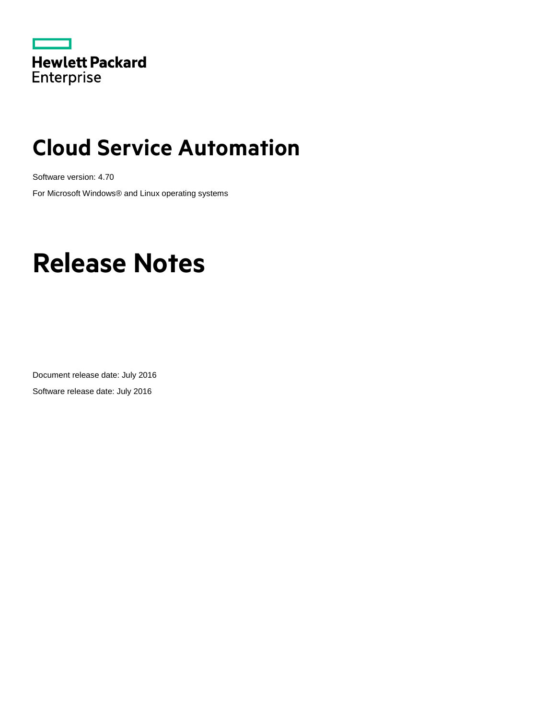

# **Cloud Service Automation**

Software version: 4.70 For Microsoft Windows® and Linux operating systems

# **Release Notes**

Document release date: July 2016 Software release date: July 2016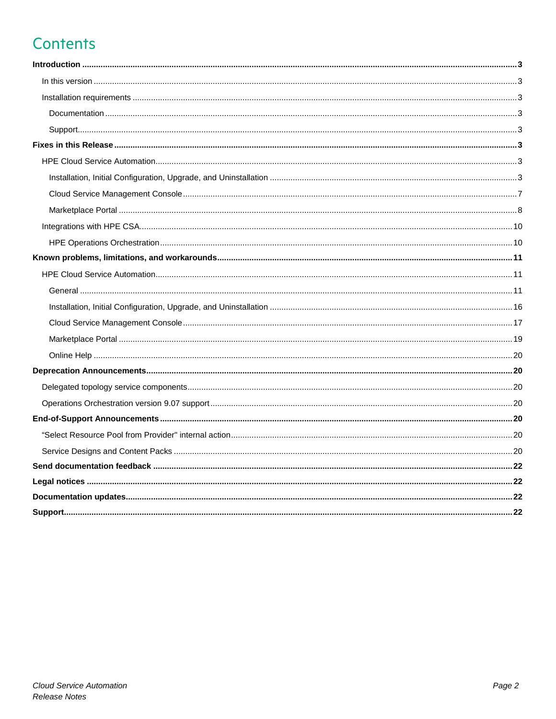### **Contents**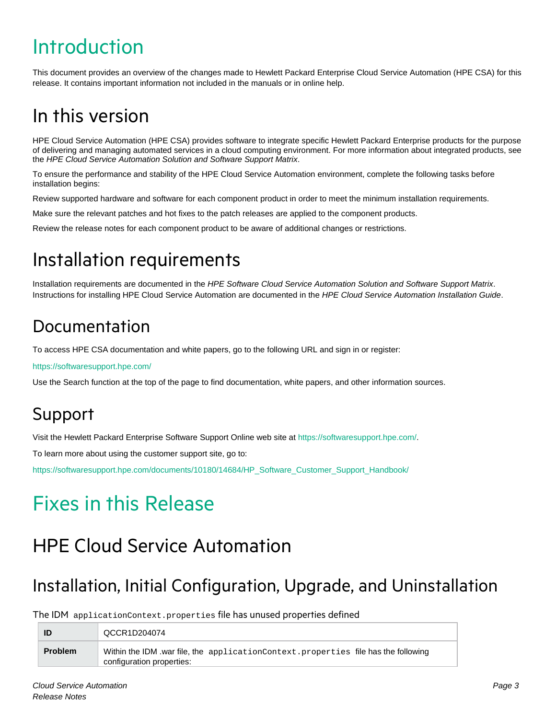# <span id="page-2-0"></span>Introduction

This document provides an overview of the changes made to Hewlett Packard Enterprise Cloud Service Automation (HPE CSA) for this release. It contains important information not included in the manuals or in online help.

## <span id="page-2-1"></span>In this version

HPE Cloud Service Automation (HPE CSA) provides software to integrate specific Hewlett Packard Enterprise products for the purpose of delivering and managing automated services in a cloud computing environment. For more information about integrated products, see the *HPE Cloud Service Automation Solution and Software Support Matrix*.

To ensure the performance and stability of the HPE Cloud Service Automation environment, complete the following tasks before installation begins:

Review supported hardware and software for each component product in order to meet the minimum installation requirements.

Make sure the relevant patches and hot fixes to the patch releases are applied to the component products.

Review the release notes for each component product to be aware of additional changes or restrictions.

## <span id="page-2-2"></span>Installation requirements

Installation requirements are documented in the *HPE Software Cloud Service Automation Solution and Software Support Matrix*. Instructions for installing HPE Cloud Service Automation are documented in the *HPE Cloud Service Automation Installation Guide*.

## <span id="page-2-3"></span>Documentation

To access HPE CSA documentation and white papers, go to the following URL and sign in or register:

<https://softwaresupport.hpe.com/>

Use the Search function at the top of the page to find documentation, white papers, and other information sources.

## <span id="page-2-4"></span>Support

Visit the Hewlett Packard Enterprise Software Support Online web site at [https://softwaresupport.hpe.com/.](https://softwaresupport.hpe.com/)

To learn more about using the customer support site, go to:

[https://softwaresupport.hpe.com/documents/10180/14684/HP\\_Software\\_Customer\\_Support\\_Handbook/](https://softwaresupport.hpe.com/documents/10180/14684/HP_Software_Customer_Support_Handbook/)

# <span id="page-2-5"></span>Fixes in this Release

## <span id="page-2-6"></span>HPE Cloud Service Automation

### <span id="page-2-7"></span>Installation, Initial Configuration, Upgrade, and Uninstallation

The IDM applicationContext.properties file has unused properties defined

|                | QCCR1D204074                                                                                                    |
|----------------|-----------------------------------------------------------------------------------------------------------------|
| <b>Problem</b> | Within the IDM .war file, the applicationContext.properties file has the following<br>configuration properties: |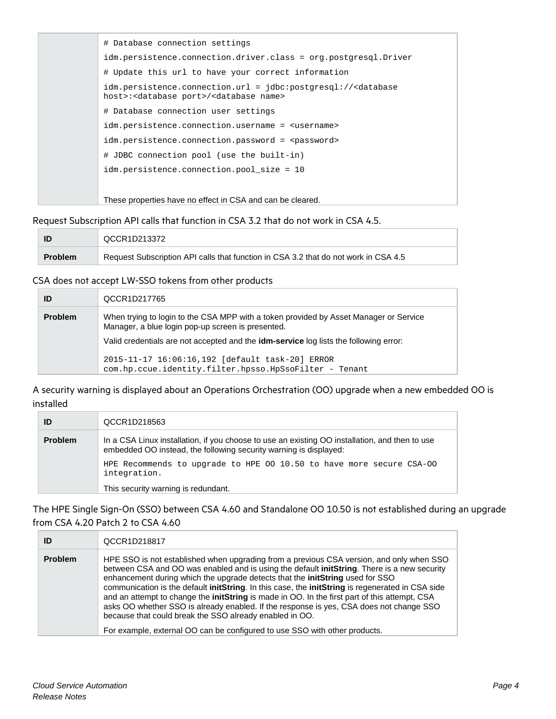#### Request Subscription API calls that function in CSA 3.2 that do not work in CSA 4.5.

|                | QCCR1D213372                                                                        |
|----------------|-------------------------------------------------------------------------------------|
| <b>Problem</b> | Request Subscription API calls that function in CSA 3.2 that do not work in CSA 4.5 |

#### CSA does not accept LW-SSO tokens from other products

| ID             | QCCR1D217765                                                                                                                                                                                              |
|----------------|-----------------------------------------------------------------------------------------------------------------------------------------------------------------------------------------------------------|
| <b>Problem</b> | When trying to login to the CSA MPP with a token provided by Asset Manager or Service<br>Manager, a blue login pop-up screen is presented.                                                                |
|                | Valid credentials are not accepted and the <b>idm-service</b> log lists the following error:<br>2015-11-17 16:06:16,192 [default task-20] ERROR<br>com.hp.ccue.identity.filter.hpsso.HpSsoFilter - Tenant |

A security warning is displayed about an Operations Orchestration (OO) upgrade when a new embedded OO is installed

| ID             | QCCR1D218563                                                                                                                                                        |
|----------------|---------------------------------------------------------------------------------------------------------------------------------------------------------------------|
| <b>Problem</b> | In a CSA Linux installation, if you choose to use an existing OO installation, and then to use<br>embedded OO instead, the following security warning is displayed: |
|                | HPE Recommends to upgrade to HPE 00 10.50 to have more secure CSA-00<br>integration.                                                                                |
|                | This security warning is redundant.                                                                                                                                 |

The HPE Single Sign-On (SSO) between CSA 4.60 and Standalone OO 10.50 is not established during an upgrade from CSA 4.20 Patch 2 to CSA 4.60

| ID             | QCCR1D218817                                                                                                                                                                                                                                                                                                                                                                                                                                                                                                                                                                                                                                                                                                                                           |
|----------------|--------------------------------------------------------------------------------------------------------------------------------------------------------------------------------------------------------------------------------------------------------------------------------------------------------------------------------------------------------------------------------------------------------------------------------------------------------------------------------------------------------------------------------------------------------------------------------------------------------------------------------------------------------------------------------------------------------------------------------------------------------|
| <b>Problem</b> | HPE SSO is not established when upgrading from a previous CSA version, and only when SSO<br>between CSA and OO was enabled and is using the default <b>initString</b> . There is a new security<br>enhancement during which the upgrade detects that the <b>initString</b> used for SSO<br>communication is the default <b>initString</b> . In this case, the <b>initString</b> is regenerated in CSA side<br>and an attempt to change the <b>initString</b> is made in OO. In the first part of this attempt, CSA<br>asks OO whether SSO is already enabled. If the response is yes, CSA does not change SSO<br>because that could break the SSO already enabled in OO.<br>For example, external OO can be configured to use SSO with other products. |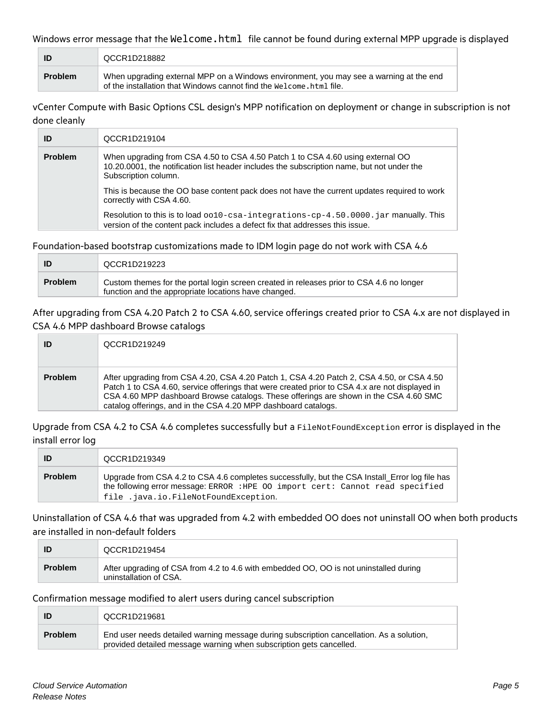Windows error message that the Welcome.html file cannot be found during external MPP upgrade is displayed

| ID             | QCCR1D218882                                                                                                                                                   |
|----------------|----------------------------------------------------------------------------------------------------------------------------------------------------------------|
| <b>Problem</b> | When upgrading external MPP on a Windows environment, you may see a warning at the end<br>of the installation that Windows cannot find the Welcome, html file. |

vCenter Compute with Basic Options CSL design's MPP notification on deployment or change in subscription is not done cleanly

| ID             | QCCR1D219104                                                                                                                                                                                         |
|----------------|------------------------------------------------------------------------------------------------------------------------------------------------------------------------------------------------------|
| <b>Problem</b> | When upgrading from CSA 4.50 to CSA 4.50 Patch 1 to CSA 4.60 using external OO<br>10.20.0001, the notification list header includes the subscription name, but not under the<br>Subscription column. |
|                | This is because the OO base content pack does not have the current updates required to work<br>correctly with CSA 4.60.                                                                              |
|                | Resolution to this is to load oo10-csa-integrations-cp-4.50.0000.jar manually. This<br>version of the content pack includes a defect fix that addresses this issue.                                  |

Foundation-based bootstrap customizations made to IDM login page do not work with CSA 4.6

|                | QCCR1D219223                                                                                                                                     |
|----------------|--------------------------------------------------------------------------------------------------------------------------------------------------|
| <b>Problem</b> | Custom themes for the portal login screen created in releases prior to CSA 4.6 no longer<br>function and the appropriate locations have changed. |

#### After upgrading from CSA 4.20 Patch 2 to CSA 4.60, service offerings created prior to CSA 4.x are not displayed in CSA 4.6 MPP dashboard Browse catalogs

| ID             | QCCR1D219249                                                                                                                                                                                                                                                                                                                                          |
|----------------|-------------------------------------------------------------------------------------------------------------------------------------------------------------------------------------------------------------------------------------------------------------------------------------------------------------------------------------------------------|
| <b>Problem</b> | After upgrading from CSA 4.20, CSA 4.20 Patch 1, CSA 4.20 Patch 2, CSA 4.50, or CSA 4.50<br>Patch 1 to CSA 4.60, service offerings that were created prior to CSA 4.x are not displayed in<br>CSA 4.60 MPP dashboard Browse catalogs. These offerings are shown in the CSA 4.60 SMC<br>catalog offerings, and in the CSA 4.20 MPP dashboard catalogs. |

Upgrade from CSA 4.2 to CSA 4.6 completes successfully but a FileNotFoundException error is displayed in the install error log

| ID             | QCCR1D219349                                                                                                                                                                                                             |
|----------------|--------------------------------------------------------------------------------------------------------------------------------------------------------------------------------------------------------------------------|
| <b>Problem</b> | Upgrade from CSA 4.2 to CSA 4.6 completes successfully, but the CSA Install_Error log file has<br>the following error message: ERROR : HPE OO import cert: Cannot read specified<br>file .java.io.FileNotFoundException. |

Uninstallation of CSA 4.6 that was upgraded from 4.2 with embedded OO does not uninstall OO when both products are installed in non-default folders

| ID             | QCCR1D219454                                                                                                    |
|----------------|-----------------------------------------------------------------------------------------------------------------|
| <b>Problem</b> | After upgrading of CSA from 4.2 to 4.6 with embedded OO, OO is not uninstalled during<br>uninstallation of CSA. |

#### Confirmation message modified to alert users during cancel subscription

| ID             | QCCR1D219681                                                                                                                                                    |
|----------------|-----------------------------------------------------------------------------------------------------------------------------------------------------------------|
| <b>Problem</b> | End user needs detailed warning message during subscription cancellation. As a solution,<br>provided detailed message warning when subscription gets cancelled. |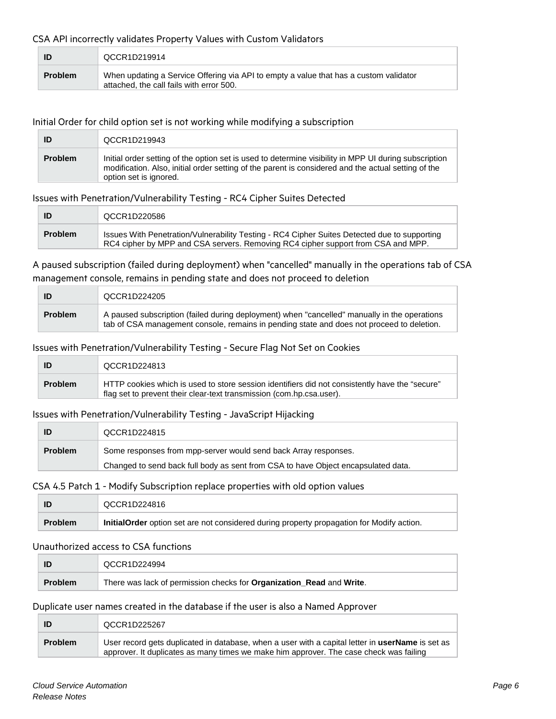#### CSA API incorrectly validates Property Values with Custom Validators

| ID             | QCCR1D219914                                                                                                                      |
|----------------|-----------------------------------------------------------------------------------------------------------------------------------|
| <b>Problem</b> | When updating a Service Offering via API to empty a value that has a custom validator<br>attached, the call fails with error 500. |

#### Initial Order for child option set is not working while modifying a subscription

| ID             | QCCR1D219943                                                                                                                                                                                                                           |
|----------------|----------------------------------------------------------------------------------------------------------------------------------------------------------------------------------------------------------------------------------------|
| <b>Problem</b> | Initial order setting of the option set is used to determine visibility in MPP UI during subscription<br>modification. Also, initial order setting of the parent is considered and the actual setting of the<br>option set is ignored. |

#### Issues with Penetration/Vulnerability Testing - RC4 Cipher Suites Detected

| ID             | QCCR1D220586                                                                                                                                                                     |
|----------------|----------------------------------------------------------------------------------------------------------------------------------------------------------------------------------|
| <b>Problem</b> | Issues With Penetration/Vulnerability Testing - RC4 Cipher Suites Detected due to supporting<br>RC4 cipher by MPP and CSA servers. Removing RC4 cipher support from CSA and MPP. |

A paused subscription (failed during deployment) when "cancelled" manually in the operations tab of CSA management console, remains in pending state and does not proceed to deletion

| ID             | QCCR1D224205                                                                                                                                                                              |
|----------------|-------------------------------------------------------------------------------------------------------------------------------------------------------------------------------------------|
| <b>Problem</b> | A paused subscription (failed during deployment) when "cancelled" manually in the operations<br>tab of CSA management console, remains in pending state and does not proceed to deletion. |

#### Issues with Penetration/Vulnerability Testing - Secure Flag Not Set on Cookies

|                | QCCR1D224813                                                                                                                                                            |
|----------------|-------------------------------------------------------------------------------------------------------------------------------------------------------------------------|
| <b>Problem</b> | "HTTP cookies which is used to store session identifiers did not consistently have the "secure"<br>flag set to prevent their clear-text transmission (com.hp.csa.user). |

#### Issues with Penetration/Vulnerability Testing - JavaScript Hijacking

| ID             | QCCR1D224815                                                                      |
|----------------|-----------------------------------------------------------------------------------|
| <b>Problem</b> | Some responses from mpp-server would send back Array responses.                   |
|                | Changed to send back full body as sent from CSA to have Object encapsulated data. |

#### CSA 4.5 Patch 1 - Modify Subscription replace properties with old option values

| ID             | QCCR1D224816                                                                              |
|----------------|-------------------------------------------------------------------------------------------|
| <b>Problem</b> | InitialOrder option set are not considered during property propagation for Modify action. |

#### Unauthorized access to CSA functions

|                | QCCR1D224994                                                         |
|----------------|----------------------------------------------------------------------|
| <b>Problem</b> | There was lack of permission checks for Organization_Read and Write. |

#### Duplicate user names created in the database if the user is also a Named Approver

| ID             | QCCR1D225267                                                                                                                                                                                      |
|----------------|---------------------------------------------------------------------------------------------------------------------------------------------------------------------------------------------------|
| <b>Problem</b> | User record gets duplicated in database, when a user with a capital letter in <b>userName</b> is set as<br>approver. It duplicates as many times we make him approver. The case check was failing |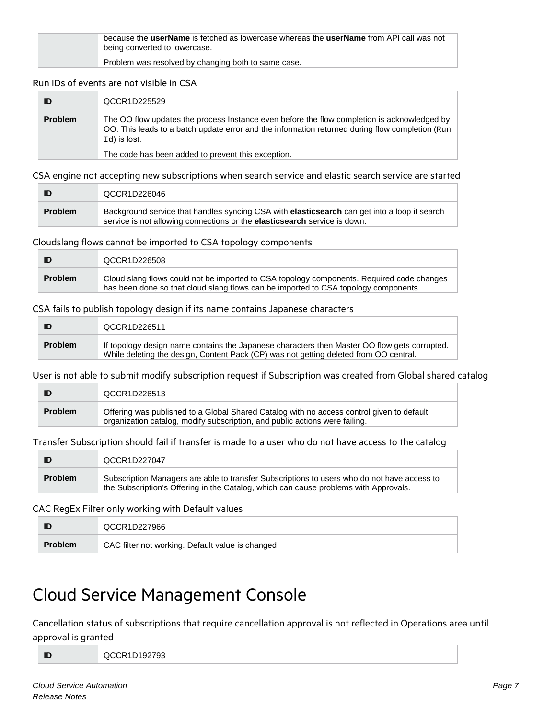because the **userName** is fetched as lowercase whereas the **userName** from API call was not being converted to lowercase.

Problem was resolved by changing both to same case.

#### Run IDs of events are not visible in CSA

| ID             | QCCR1D225529                                                                                                                                                                                                   |
|----------------|----------------------------------------------------------------------------------------------------------------------------------------------------------------------------------------------------------------|
| <b>Problem</b> | The OO flow updates the process Instance even before the flow completion is acknowledged by<br>OO. This leads to a batch update error and the information returned during flow completion (Run<br>Id) is lost. |
|                | The code has been added to prevent this exception.                                                                                                                                                             |

CSA engine not accepting new subscriptions when search service and elastic search service are started

| ID             | QCCR1D226046                                                                                                                                                                            |
|----------------|-----------------------------------------------------------------------------------------------------------------------------------------------------------------------------------------|
| <b>Problem</b> | Background service that handles syncing CSA with <b>elasticsearch</b> can get into a loop if search<br>service is not allowing connections or the <b>elasticsearch</b> service is down. |

#### Cloudslang flows cannot be imported to CSA topology components

| ID             | QCCR1D226508                                                                                                                                                                     |
|----------------|----------------------------------------------------------------------------------------------------------------------------------------------------------------------------------|
| <b>Problem</b> | Cloud slang flows could not be imported to CSA topology components. Required code changes<br>has been done so that cloud slang flows can be imported to CSA topology components. |

#### CSA fails to publish topology design if its name contains Japanese characters

| ID             | QCCR1D226511                                                                                                                                                                          |
|----------------|---------------------------------------------------------------------------------------------------------------------------------------------------------------------------------------|
| <b>Problem</b> | If topology design name contains the Japanese characters then Master OO flow gets corrupted.<br>While deleting the design, Content Pack (CP) was not getting deleted from OO central. |

User is not able to submit modify subscription request if Subscription was created from Global shared catalog

| ID             | QCCR1D226513                                                                                                                                                             |
|----------------|--------------------------------------------------------------------------------------------------------------------------------------------------------------------------|
| <b>Problem</b> | Offering was published to a Global Shared Catalog with no access control given to default<br>organization catalog, modify subscription, and public actions were failing. |

Transfer Subscription should fail if transfer is made to a user who do not have access to the catalog

| ID             | QCCR1D227047                                                                                                                                                                        |
|----------------|-------------------------------------------------------------------------------------------------------------------------------------------------------------------------------------|
| <b>Problem</b> | Subscription Managers are able to transfer Subscriptions to users who do not have access to<br>the Subscription's Offering in the Catalog, which can cause problems with Approvals. |

#### CAC RegEx Filter only working with Default values

|                | QCCR1D227966                                      |
|----------------|---------------------------------------------------|
| <b>Problem</b> | CAC filter not working. Default value is changed. |

### <span id="page-6-0"></span>Cloud Service Management Console

Cancellation status of subscriptions that require cancellation approval is not reflected in Operations area until approval is granted

**ID** QCCR1D192793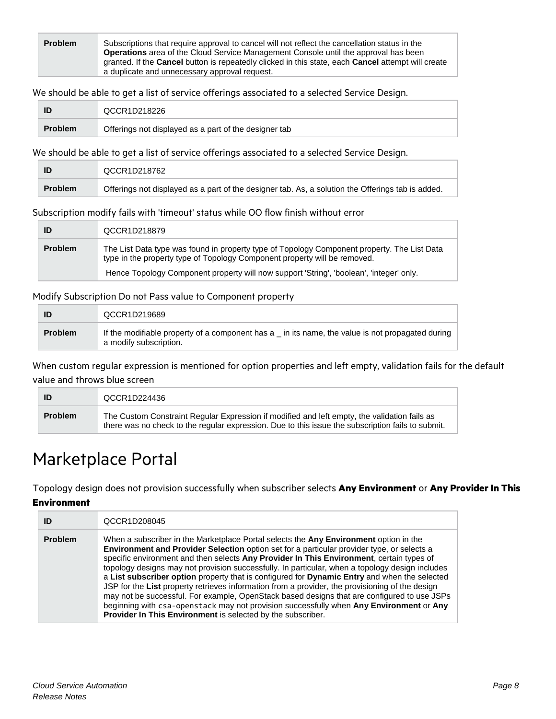**Problem** Subscriptions that require approval to cancel will not reflect the cancellation status in the **Operations** area of the Cloud Service Management Console until the approval has been granted. If the **Cancel** button is repeatedly clicked in this state, each **Cancel** attempt will create a duplicate and unnecessary approval request.

We should be able to get a list of service offerings associated to a selected Service Design.

|                | QCCR1D218226                                          |
|----------------|-------------------------------------------------------|
| <b>Problem</b> | Offerings not displayed as a part of the designer tab |

We should be able to get a list of service offerings associated to a selected Service Design.

| <b>ID</b>      | QCCR1D218762                                                                                      |
|----------------|---------------------------------------------------------------------------------------------------|
| <b>Problem</b> | Offerings not displayed as a part of the designer tab. As, a solution the Offerings tab is added. |

#### Subscription modify fails with 'timeout' status while OO flow finish without error

| ID             | QCCR1D218879                                                                                                                                                             |
|----------------|--------------------------------------------------------------------------------------------------------------------------------------------------------------------------|
| <b>Problem</b> | The List Data type was found in property type of Topology Component property. The List Data<br>type in the property type of Topology Component property will be removed. |
|                | Hence Topology Component property will now support 'String', 'boolean', 'integer' only.                                                                                  |

#### Modify Subscription Do not Pass value to Component property

|         | QCCR1D219689                                                                                                              |
|---------|---------------------------------------------------------------------------------------------------------------------------|
| Problem | If the modifiable property of a component has a in its name, the value is not propagated during<br>a modify subscription. |

When custom regular expression is mentioned for option properties and left empty, validation fails for the default value and throws blue screen

| ID             | QCCR1D224436                                                                                                                                                                                      |
|----------------|---------------------------------------------------------------------------------------------------------------------------------------------------------------------------------------------------|
| <b>Problem</b> | The Custom Constraint Regular Expression if modified and left empty, the validation fails as<br>there was no check to the regular expression. Due to this issue the subscription fails to submit. |

### <span id="page-7-0"></span>Marketplace Portal

Topology design does not provision successfully when subscriber selects **Any Environment** or **Any Provider In This** 

#### **Environment**

| ID             | QCCR1D208045                                                                                                                                                                                                                                                                                                                                                                                                                                                                                                                                                                                                                                                                                                                                                                                                                                                 |
|----------------|--------------------------------------------------------------------------------------------------------------------------------------------------------------------------------------------------------------------------------------------------------------------------------------------------------------------------------------------------------------------------------------------------------------------------------------------------------------------------------------------------------------------------------------------------------------------------------------------------------------------------------------------------------------------------------------------------------------------------------------------------------------------------------------------------------------------------------------------------------------|
| <b>Problem</b> | When a subscriber in the Marketplace Portal selects the <b>Any Environment</b> option in the<br><b>Environment and Provider Selection</b> option set for a particular provider type, or selects a<br>specific environment and then selects Any Provider In This Environment, certain types of<br>topology designs may not provision successfully. In particular, when a topology design includes<br>a List subscriber option property that is configured for Dynamic Entry and when the selected<br>JSP for the List property retrieves information from a provider, the provisioning of the design<br>may not be successful. For example, OpenStack based designs that are configured to use JSPs<br>beginning with csa-openstack may not provision successfully when Any Environment or Any<br>Provider In This Environment is selected by the subscriber. |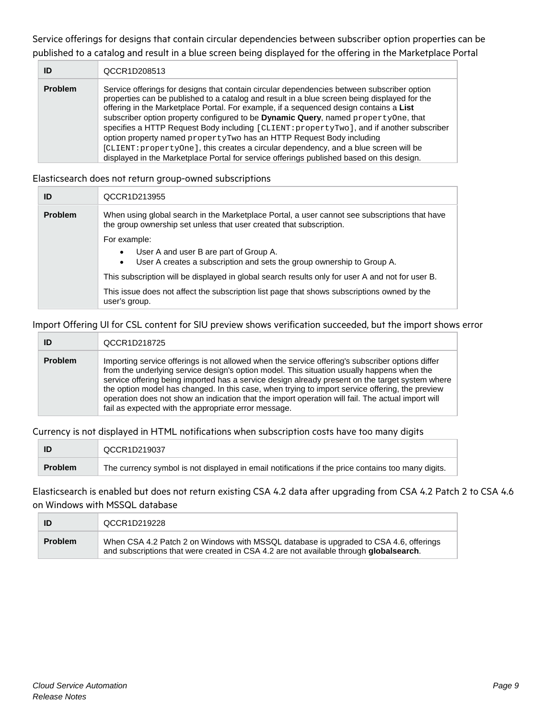Service offerings for designs that contain circular dependencies between subscriber option properties can be published to a catalog and result in a blue screen being displayed for the offering in the Marketplace Portal

| ID             | QCCR1D208513                                                                                                                                                                                                                                                                                                                                                                                                                                                                                                                                                                                                                                                                                                                         |
|----------------|--------------------------------------------------------------------------------------------------------------------------------------------------------------------------------------------------------------------------------------------------------------------------------------------------------------------------------------------------------------------------------------------------------------------------------------------------------------------------------------------------------------------------------------------------------------------------------------------------------------------------------------------------------------------------------------------------------------------------------------|
| <b>Problem</b> | Service offerings for designs that contain circular dependencies between subscriber option<br>properties can be published to a catalog and result in a blue screen being displayed for the<br>offering in the Marketplace Portal. For example, if a sequenced design contains a List<br>subscriber option property configured to be Dynamic Query, named propertyOne, that<br>specifies a HTTP Request Body including [CLIENT: propertyTwo], and if another subscriber<br>option property named property Two has an HTTP Request Body including<br>[CLIENT: propertyOne], this creates a circular dependency, and a blue screen will be<br>displayed in the Marketplace Portal for service offerings published based on this design. |

#### Elasticsearch does not return group-owned subscriptions

| ID             | QCCR1D213955                                                                                                                                                         |
|----------------|----------------------------------------------------------------------------------------------------------------------------------------------------------------------|
| <b>Problem</b> | When using global search in the Marketplace Portal, a user cannot see subscriptions that have<br>the group ownership set unless that user created that subscription. |
|                | For example:                                                                                                                                                         |
|                | User A and user B are part of Group A.<br>User A creates a subscription and sets the group ownership to Group A.                                                     |
|                | This subscription will be displayed in global search results only for user A and not for user B.                                                                     |
|                | This issue does not affect the subscription list page that shows subscriptions owned by the<br>user's group.                                                         |

#### Import Offering UI for CSL content for SIU preview shows verification succeeded, but the import shows error

|                | QCCR1D218725                                                                                                                                                                                                                                                                                                                                                                                                                                                                                                                                                      |
|----------------|-------------------------------------------------------------------------------------------------------------------------------------------------------------------------------------------------------------------------------------------------------------------------------------------------------------------------------------------------------------------------------------------------------------------------------------------------------------------------------------------------------------------------------------------------------------------|
| <b>Problem</b> | Importing service offerings is not allowed when the service offering's subscriber options differ<br>from the underlying service design's option model. This situation usually happens when the<br>service offering being imported has a service design already present on the target system where<br>the option model has changed. In this case, when trying to import service offering, the preview<br>operation does not show an indication that the import operation will fail. The actual import will<br>fail as expected with the appropriate error message. |

Currency is not displayed in HTML notifications when subscription costs have too many digits

|                | QCCR1D219037                                                                                       |
|----------------|----------------------------------------------------------------------------------------------------|
| <b>Problem</b> | The currency symbol is not displayed in email notifications if the price contains too many digits. |

Elasticsearch is enabled but does not return existing CSA 4.2 data after upgrading from CSA 4.2 Patch 2 to CSA 4.6 on Windows with MSSQL database

| ID             | QCCR1D219228                                                                                                                                                                    |
|----------------|---------------------------------------------------------------------------------------------------------------------------------------------------------------------------------|
| <b>Problem</b> | When CSA 4.2 Patch 2 on Windows with MSSQL database is upgraded to CSA 4.6, offerings<br>and subscriptions that were created in CSA 4.2 are not available through globalsearch. |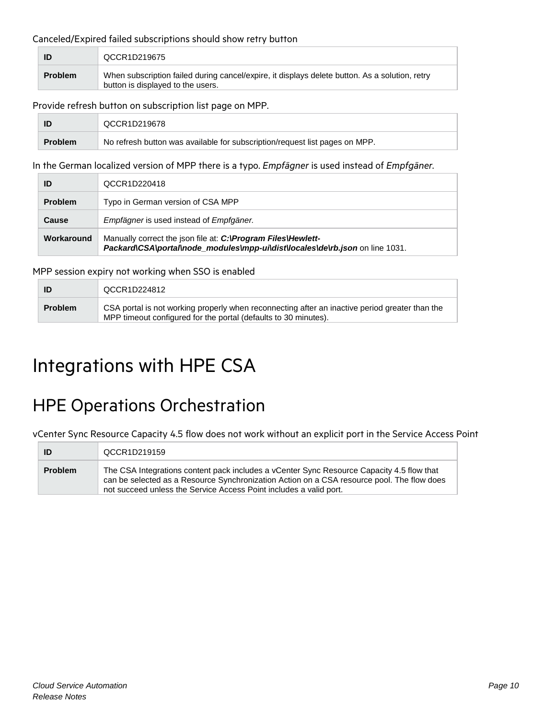#### Canceled/Expired failed subscriptions should show retry button

|                | QCCR1D219675                                                                                                                        |
|----------------|-------------------------------------------------------------------------------------------------------------------------------------|
| <b>Problem</b> | When subscription failed during cancel/expire, it displays delete button. As a solution, retry<br>button is displayed to the users. |

#### Provide refresh button on subscription list page on MPP.

|                | QCCR1D219678                                                                |
|----------------|-----------------------------------------------------------------------------|
| <b>Problem</b> | No refresh button was available for subscription/request list pages on MPP. |

In the German localized version of MPP there is a typo. *Empfägner* is used instead of *Empfgäner.*

| ID             | QCCR1D220418                                                                                                                                 |
|----------------|----------------------------------------------------------------------------------------------------------------------------------------------|
| <b>Problem</b> | Typo in German version of CSA MPP                                                                                                            |
| Cause          | Empfägner is used instead of Empfgäner.                                                                                                      |
| Workaround     | Manually correct the json file at: C: Program Files Hewlett-<br>Packard\CSA\portal\node_modules\mpp-ui\dist\locales\de\rb.json on line 1031. |

MPP session expiry not working when SSO is enabled

|                | QCCR1D224812                                                                                                                                                      |
|----------------|-------------------------------------------------------------------------------------------------------------------------------------------------------------------|
| <b>Problem</b> | CSA portal is not working properly when reconnecting after an inactive period greater than the<br>MPP timeout configured for the portal (defaults to 30 minutes). |

## <span id="page-9-0"></span>Integrations with HPE CSA

### <span id="page-9-1"></span>HPE Operations Orchestration

vCenter Sync Resource Capacity 4.5 flow does not work without an explicit port in the Service Access Point

| ID             | QCCR1D219159                                                                                                                                                                                                                                                  |
|----------------|---------------------------------------------------------------------------------------------------------------------------------------------------------------------------------------------------------------------------------------------------------------|
| <b>Problem</b> | The CSA Integrations content pack includes a vCenter Sync Resource Capacity 4.5 flow that<br>can be selected as a Resource Synchronization Action on a CSA resource pool. The flow does<br>not succeed unless the Service Access Point includes a valid port. |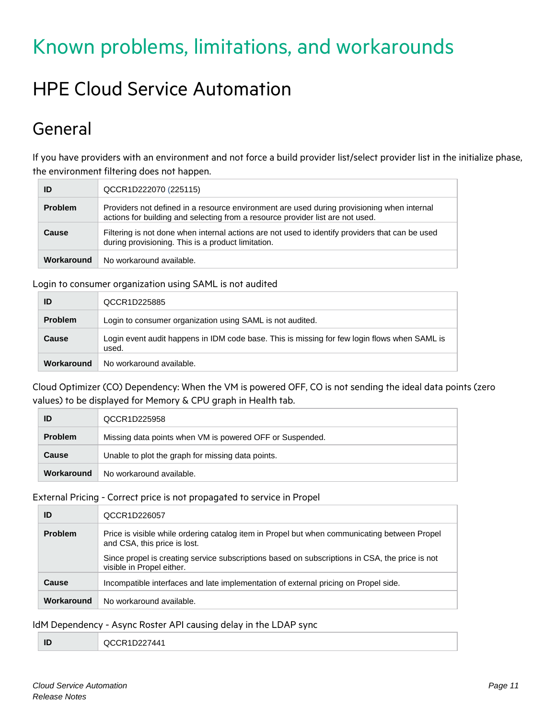# <span id="page-10-0"></span>Known problems, limitations, and workarounds

# <span id="page-10-1"></span>HPE Cloud Service Automation

## <span id="page-10-2"></span>General

If you have providers with an environment and not force a build provider list/select provider list in the initialize phase, the environment filtering does not happen.

| ID             | QCCR1D222070 (225115)                                                                                                                                                        |
|----------------|------------------------------------------------------------------------------------------------------------------------------------------------------------------------------|
| <b>Problem</b> | Providers not defined in a resource environment are used during provisioning when internal<br>actions for building and selecting from a resource provider list are not used. |
| Cause          | Filtering is not done when internal actions are not used to identify providers that can be used<br>during provisioning. This is a product limitation.                        |
| Workaround     | No workaround available.                                                                                                                                                     |

Login to consumer organization using SAML is not audited

| ID             | QCCR1D225885                                                                                          |
|----------------|-------------------------------------------------------------------------------------------------------|
| <b>Problem</b> | Login to consumer organization using SAML is not audited.                                             |
| Cause          | Login event audit happens in IDM code base. This is missing for few login flows when SAML is<br>used. |
| Workaround     | No workaround available.                                                                              |

Cloud Optimizer (CO) Dependency: When the VM is powered OFF, CO is not sending the ideal data points (zero values) to be displayed for Memory & CPU graph in Health tab.

| ID             | QCCR1D225958                                             |
|----------------|----------------------------------------------------------|
| <b>Problem</b> | Missing data points when VM is powered OFF or Suspended. |
| <b>Cause</b>   | Unable to plot the graph for missing data points.        |
| Workaround     | No workaround available.                                 |

#### External Pricing - Correct price is not propagated to service in Propel

| ID             | QCCR1D226057                                                                                                                 |
|----------------|------------------------------------------------------------------------------------------------------------------------------|
| <b>Problem</b> | Price is visible while ordering catalog item in Propel but when communicating between Propel<br>and CSA, this price is lost. |
|                | Since propel is creating service subscriptions based on subscriptions in CSA, the price is not<br>visible in Propel either.  |
| Cause          | Incompatible interfaces and late implementation of external pricing on Propel side.                                          |
| Workaround     | No workaround available.                                                                                                     |

#### IdM Dependency - Async Roster API causing delay in the LDAP sync

| шm<br>טו | R1D227441<br>OCCR<br>$-$ |
|----------|--------------------------|
|----------|--------------------------|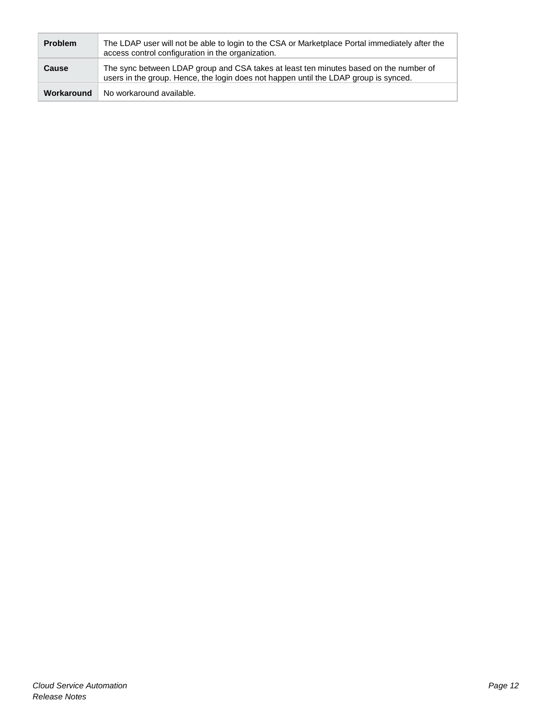| <b>Problem</b> | The LDAP user will not be able to login to the CSA or Marketplace Portal immediately after the<br>access control configuration in the organization.                           |
|----------------|-------------------------------------------------------------------------------------------------------------------------------------------------------------------------------|
| Cause          | The sync between LDAP group and CSA takes at least ten minutes based on the number of<br>users in the group. Hence, the login does not happen until the LDAP group is synced. |
| Workaround     | No workaround available.                                                                                                                                                      |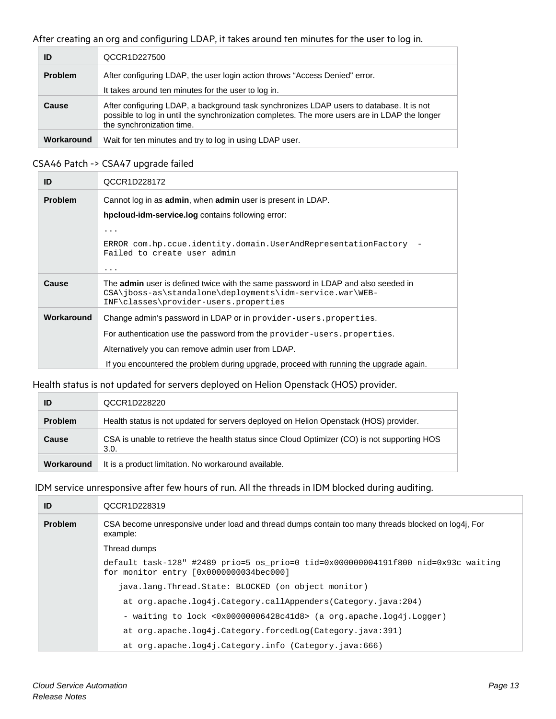After creating an org and configuring LDAP, it takes around ten minutes for the user to log in.

| ID             | QCCR1D227500                                                                                                                                                                                                           |
|----------------|------------------------------------------------------------------------------------------------------------------------------------------------------------------------------------------------------------------------|
| <b>Problem</b> | After configuring LDAP, the user login action throws "Access Denied" error.<br>It takes around ten minutes for the user to log in.                                                                                     |
| Cause          | After configuring LDAP, a background task synchronizes LDAP users to database. It is not<br>possible to log in until the synchronization completes. The more users are in LDAP the longer<br>the synchronization time. |
| Workaround     | Wait for ten minutes and try to log in using LDAP user.                                                                                                                                                                |

#### CSA46 Patch -> CSA47 upgrade failed

| ID             | QCCR1D228172                                                                                                                                                                                  |
|----------------|-----------------------------------------------------------------------------------------------------------------------------------------------------------------------------------------------|
| <b>Problem</b> | Cannot log in as <b>admin</b> , when <b>admin</b> user is present in LDAP.                                                                                                                    |
|                | hpcloud-idm-service.log contains following error:                                                                                                                                             |
|                | .                                                                                                                                                                                             |
|                | ERROR com.hp.ccue.identity.domain.UserAndRepresentationFactory<br>Failed to create user admin                                                                                                 |
|                | $\cdots$                                                                                                                                                                                      |
| Cause          | The <b>admin</b> user is defined twice with the same password in LDAP and also seeded in<br>CSA\jboss-as\standalone\deployments\idm-service.war\WEB-<br>INF\classes\provider-users.properties |
| Workaround     | Change admin's password in LDAP or in provider-users. properties.                                                                                                                             |
|                | For authentication use the password from the provider-users. properties.                                                                                                                      |
|                | Alternatively you can remove admin user from LDAP.                                                                                                                                            |
|                | If you encountered the problem during upgrade, proceed with running the upgrade again.                                                                                                        |

#### Health status is not updated for servers deployed on Helion Openstack (HOS) provider.

| ID             | QCCR1D228220                                                                                         |
|----------------|------------------------------------------------------------------------------------------------------|
| <b>Problem</b> | Health status is not updated for servers deployed on Helion Openstack (HOS) provider.                |
| <b>Cause</b>   | CSA is unable to retrieve the health status since Cloud Optimizer (CO) is not supporting HOS<br>3.0. |
| Workaround     | It is a product limitation. No workaround available.                                                 |

IDM service unresponsive after few hours of run. All the threads in IDM blocked during auditing.

| ID             | QCCR1D228319                                                                                                                |
|----------------|-----------------------------------------------------------------------------------------------------------------------------|
| <b>Problem</b> | CSA become unresponsive under load and thread dumps contain too many threads blocked on log4j, For<br>example:              |
|                | Thread dumps                                                                                                                |
|                | default task-128" #2489 prio=5 os prio=0 tid=0x000000004191f800 nid=0x93c waiting<br>for monitor entry [0x0000000034bec000] |
|                | java.lang.Thread.State: BLOCKED (on object monitor)                                                                         |
|                | at org.apache.log4j.Category.callAppenders(Category.java:204)                                                               |
|                | - waiting to lock <0x00000006428c41d8> (a org.apache.log4j.Logger)                                                          |
|                | at org.apache.log4j.Category.forcedLog(Category.java:391)                                                                   |
|                | at org.apache.log4j.Category.info (Category.java:666)                                                                       |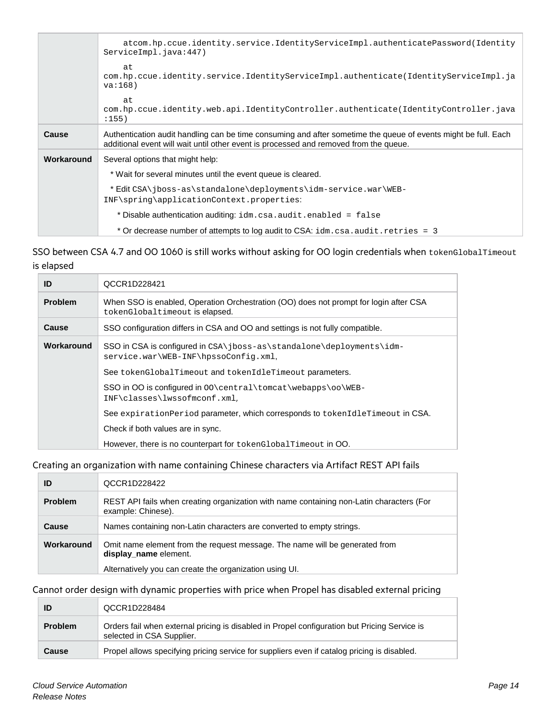|              | atcom.hp.ccue.identity.service.IdentityServiceImpl.authenticatePassword(Identity<br>ServiceImpl.java:447)                                                                                               |
|--------------|---------------------------------------------------------------------------------------------------------------------------------------------------------------------------------------------------------|
|              | at<br>com.hp.ccue.identity.service.IdentityServiceImpl.authenticate(IdentityServiceImpl.ja<br>va:168)                                                                                                   |
|              | at<br>com.hp.ccue.identity.web.api.IdentityController.authenticate(IdentityController.java<br>: 155)                                                                                                    |
| <b>Cause</b> | Authentication audit handling can be time consuming and after sometime the queue of events might be full. Each<br>additional event will wait until other event is processed and removed from the queue. |
| Workaround   | Several options that might help:                                                                                                                                                                        |
|              | * Wait for several minutes until the event queue is cleared.                                                                                                                                            |
|              | *EditCSA\jboss-as\standalone\deployments\idm-service.war\WEB-<br>INF\spring\applicationContext.properties:                                                                                              |
|              | * Disable authentication auditing: idm.csa.audit.enabled = false                                                                                                                                        |
|              | * Or decrease number of attempts to log audit to CSA: idm.csa.audit.retries = 3                                                                                                                         |

SSO between CSA 4.7 and OO 1060 is still works without asking for OO login credentials when tokenGlobalTimeout is elapsed

| ID             | QCCR1D228421                                                                                                            |
|----------------|-------------------------------------------------------------------------------------------------------------------------|
| <b>Problem</b> | When SSO is enabled, Operation Orchestration (OO) does not prompt for login after CSA<br>tokenGlobaltimeout is elapsed. |
| Cause          | SSO configuration differs in CSA and OO and settings is not fully compatible.                                           |
| Workaround     | SSO in CSA is configured in CSA (jboss-as \standalone \deployments \idm-<br>service.war\WEB-INF\hpssoConfiq.xml,        |
|                | See tokenGlobalTimeout and tokenIdleTimeout parameters.                                                                 |
|                | SSO in OO is configured in 00\central\tomcat\webapps\oo\WEB-<br>INF\classes\lwssofmconf.xml,                            |
|                | See expirationPeriod parameter, which corresponds to tokenIdleTimeout in CSA.                                           |
|                | Check if both values are in sync.                                                                                       |
|                | However, there is no counterpart for tokenGlobalTimeout in OO.                                                          |

Creating an organization with name containing Chinese characters via Artifact REST API fails

| ID             | QCCR1D228422                                                                                                                                                    |
|----------------|-----------------------------------------------------------------------------------------------------------------------------------------------------------------|
| <b>Problem</b> | REST API fails when creating organization with name containing non-Latin characters (For<br>example: Chinese).                                                  |
| Cause          | Names containing non-Latin characters are converted to empty strings.                                                                                           |
| Workaround     | Omit name element from the request message. The name will be generated from<br>display_name element.<br>Alternatively you can create the organization using UI. |

#### Cannot order design with dynamic properties with price when Propel has disabled external pricing

| ID             | QCCR1D228484                                                                                                              |
|----------------|---------------------------------------------------------------------------------------------------------------------------|
| <b>Problem</b> | Orders fail when external pricing is disabled in Propel configuration but Pricing Service is<br>selected in CSA Supplier. |
| <b>Cause</b>   | Propel allows specifying pricing service for suppliers even if catalog pricing is disabled.                               |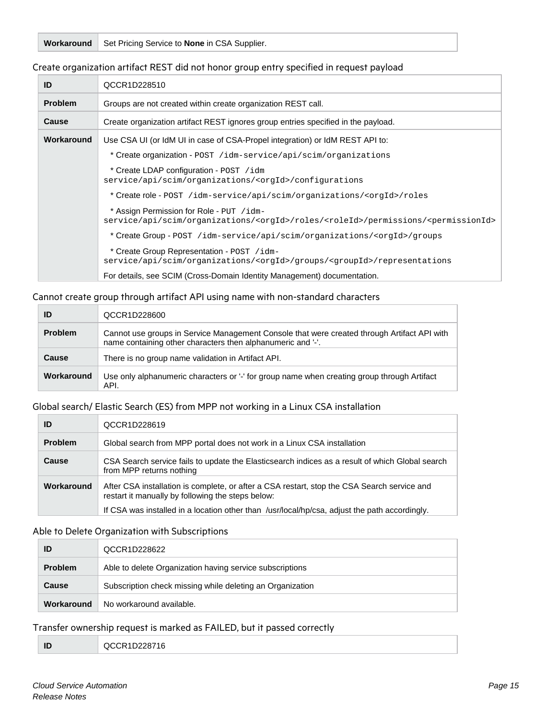**Workaround** Set Pricing Service to **None** in CSA Supplier.

#### Create organization artifact REST did not honor group entry specified in request payload

| ID             | QCCR1D228510                                                                                                                                                  |  |
|----------------|---------------------------------------------------------------------------------------------------------------------------------------------------------------|--|
| <b>Problem</b> | Groups are not created within create organization REST call.                                                                                                  |  |
| <b>Cause</b>   | Create organization artifact REST ignores group entries specified in the payload.                                                                             |  |
| Workaround     | Use CSA UI (or IdM UI in case of CSA-Propel integration) or IdM REST API to:                                                                                  |  |
|                | * Create organization - POST /idm-service/api/scim/organizations                                                                                              |  |
|                | * Create LDAP configuration - POST / idm<br>service/api/scim/organizations/ <orgid>/configurations</orgid>                                                    |  |
|                | *Create role - POST /idm-service/api/scim/organizations/ <orgid>/roles</orgid>                                                                                |  |
|                | * Assign Permission for Role - PUT /idm-<br>service/api/scim/organizations/ <orgid>/roles/<roleid>/permissions/<permissionid></permissionid></roleid></orgid> |  |
|                | * Create Group - POST /idm-service/api/scim/organizations/ <orgid>/groups</orgid>                                                                             |  |
|                | * Create Group Representation - POST /idm-<br>service/api/scim/organizations/ <orgid>/groups/<groupid>/representations</groupid></orgid>                      |  |
|                | For details, see SCIM (Cross-Domain Identity Management) documentation.                                                                                       |  |

#### Cannot create group through artifact API using name with non-standard characters

| ID             | QCCR1D228600                                                                                                                                               |  |
|----------------|------------------------------------------------------------------------------------------------------------------------------------------------------------|--|
| <b>Problem</b> | Cannot use groups in Service Management Console that were created through Artifact API with<br>name containing other characters then alphanumeric and '-'. |  |
| <b>Cause</b>   | There is no group name validation in Artifact API.                                                                                                         |  |
| Workaround     | Use only alphanumeric characters or '-' for group name when creating group through Artifact<br>API.                                                        |  |

#### Global search/ Elastic Search (ES) from MPP not working in a Linux CSA installation

| ID             | QCCR1D228619                                                                                                                                                                                                                                      |
|----------------|---------------------------------------------------------------------------------------------------------------------------------------------------------------------------------------------------------------------------------------------------|
| <b>Problem</b> | Global search from MPP portal does not work in a Linux CSA installation                                                                                                                                                                           |
| Cause          | CSA Search service fails to update the Elasticsearch indices as a result of which Global search<br>from MPP returns nothing                                                                                                                       |
| Workaround     | After CSA installation is complete, or after a CSA restart, stop the CSA Search service and<br>restart it manually by following the steps below:<br>If CSA was installed in a location other than /usr/local/hp/csa, adjust the path accordingly. |

#### Able to Delete Organization with Subscriptions

| ID             | QCCR1D228622                                              |
|----------------|-----------------------------------------------------------|
| <b>Problem</b> | Able to delete Organization having service subscriptions  |
| Cause          | Subscription check missing while deleting an Organization |
| Workaround     | No workaround available.                                  |

#### Transfer ownership request is marked as FAILED, but it passed correctly

|    | __                | . . |  |
|----|-------------------|-----|--|
| ID | ю<br>- <i>. .</i> |     |  |
|    |                   |     |  |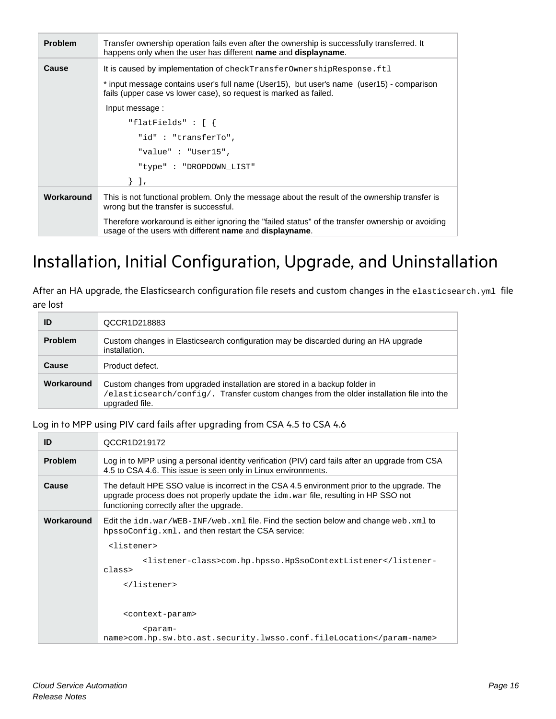| <b>Problem</b> | Transfer ownership operation fails even after the ownership is successfully transferred. It<br>happens only when the user has different name and displayname.  |  |
|----------------|----------------------------------------------------------------------------------------------------------------------------------------------------------------|--|
| <b>Cause</b>   | It is caused by implementation of checkTransferOwnershipResponse.ftl                                                                                           |  |
|                | * input message contains user's full name (User15), but user's name (user15) - comparison<br>fails (upper case vs lower case), so request is marked as failed. |  |
|                | Input message:                                                                                                                                                 |  |
|                | "flatFields" : $[$ {                                                                                                                                           |  |
|                | "id": "transferTo",                                                                                                                                            |  |
|                | "value": "User15",                                                                                                                                             |  |
|                | "type": "DROPDOWN LIST"                                                                                                                                        |  |
|                | $\vert \vert$ ,                                                                                                                                                |  |
| Workaround     | This is not functional problem. Only the message about the result of the ownership transfer is<br>wrong but the transfer is successful.                        |  |
|                | Therefore workaround is either ignoring the "failed status" of the transfer ownership or avoiding<br>usage of the users with different name and displayname.   |  |

## <span id="page-15-0"></span>Installation, Initial Configuration, Upgrade, and Uninstallation

After an HA upgrade, the Elasticsearch configuration file resets and custom changes in the elasticsearch.yml file are lost

| ID             | QCCR1D218883                                                                                                                                                                              |
|----------------|-------------------------------------------------------------------------------------------------------------------------------------------------------------------------------------------|
| <b>Problem</b> | Custom changes in Elasticsearch configuration may be discarded during an HA upgrade<br>installation.                                                                                      |
| Cause          | Product defect.                                                                                                                                                                           |
| Workaround     | Custom changes from upgraded installation are stored in a backup folder in<br>/elasticsearch/config/. Transfer custom changes from the older installation file into the<br>upgraded file. |

#### Log in to MPP using PIV card fails after upgrading from CSA 4.5 to CSA 4.6

| ID             | QCCR1D219172                                                                                                                                                                                                                   |
|----------------|--------------------------------------------------------------------------------------------------------------------------------------------------------------------------------------------------------------------------------|
| <b>Problem</b> | Log in to MPP using a personal identity verification (PIV) card fails after an upgrade from CSA<br>4.5 to CSA 4.6. This issue is seen only in Linux environments.                                                              |
| Cause          | The default HPE SSO value is incorrect in the CSA 4.5 environment prior to the upgrade. The<br>upgrade process does not properly update the idm. war file, resulting in HP SSO not<br>functioning correctly after the upgrade. |
| Workaround     | Edit the $\texttt{idm.war/WEB-INF/web.xml}$ file. Find the section below and change web. $\texttt{xml}$ to<br>hpssoConfig.xml. and then restart the CSA service:                                                               |
|                | <listener></listener>                                                                                                                                                                                                          |
|                | <listener-class>com.hp.hpsso.HpSsoContextListenerclass&gt;</listener-class>                                                                                                                                                    |
|                |                                                                                                                                                                                                                                |
|                |                                                                                                                                                                                                                                |
|                | <context-param></context-param>                                                                                                                                                                                                |
|                | <param-<br>name&gt;com.hp.sw.bto.ast.security.lwsso.conf.fileLocation</param-<br>                                                                                                                                              |
|                |                                                                                                                                                                                                                                |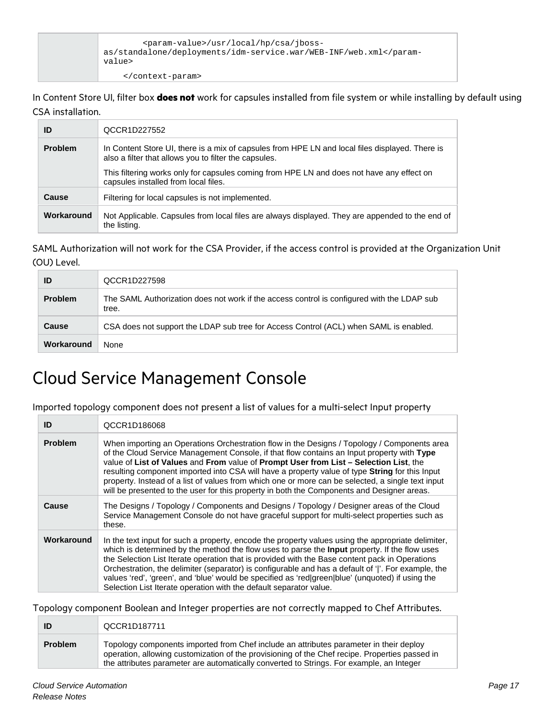| <param-value>/usr/local/hp/csa/jboss-<br/>as/standalone/deployments/idm-service.war/WEB-INF/web.xmlvalue&gt;</param-value> |
|----------------------------------------------------------------------------------------------------------------------------|
|                                                                                                                            |

In Content Store UI, filter box **does not** work for capsules installed from file system or while installing by default using CSA installation.

| ID                                                                                                                                                                         | QCCR1D227552                                                                                                                      |  |
|----------------------------------------------------------------------------------------------------------------------------------------------------------------------------|-----------------------------------------------------------------------------------------------------------------------------------|--|
| In Content Store UI, there is a mix of capsules from HPE LN and local files displayed. There is<br><b>Problem</b><br>also a filter that allows you to filter the capsules. |                                                                                                                                   |  |
|                                                                                                                                                                            | This filtering works only for capsules coming from HPE LN and does not have any effect on<br>capsules installed from local files. |  |
| Cause                                                                                                                                                                      | Filtering for local capsules is not implemented.                                                                                  |  |
| Workaround                                                                                                                                                                 | Not Applicable. Capsules from local files are always displayed. They are appended to the end of<br>the listing.                   |  |

SAML Authorization will not work for the CSA Provider, if the access control is provided at the Organization Unit (OU) Level.

| ID             | QCCR1D227598                                                                                        |
|----------------|-----------------------------------------------------------------------------------------------------|
| <b>Problem</b> | The SAML Authorization does not work if the access control is configured with the LDAP sub<br>tree. |
| <b>Cause</b>   | CSA does not support the LDAP sub tree for Access Control (ACL) when SAML is enabled.               |
| Workaround     | None                                                                                                |

## <span id="page-16-0"></span>Cloud Service Management Console

Imported topology component does not present a list of values for a multi-select Input property

| ID             | QCCR1D186068                                                                                                                                                                                                                                                                                                                                                                                                                                                                                                                                                                                  |
|----------------|-----------------------------------------------------------------------------------------------------------------------------------------------------------------------------------------------------------------------------------------------------------------------------------------------------------------------------------------------------------------------------------------------------------------------------------------------------------------------------------------------------------------------------------------------------------------------------------------------|
| <b>Problem</b> | When importing an Operations Orchestration flow in the Designs / Topology / Components area<br>of the Cloud Service Management Console, if that flow contains an Input property with Type<br>value of List of Values and From value of Prompt User from List - Selection List, the<br>resulting component imported into CSA will have a property value of type String for this Input<br>property. Instead of a list of values from which one or more can be selected, a single text input<br>will be presented to the user for this property in both the Components and Designer areas.       |
| Cause          | The Designs / Topology / Components and Designs / Topology / Designer areas of the Cloud<br>Service Management Console do not have graceful support for multi-select properties such as<br>these.                                                                                                                                                                                                                                                                                                                                                                                             |
| Workaround     | In the text input for such a property, encode the property values using the appropriate delimiter,<br>which is determined by the method the flow uses to parse the <b>Input</b> property. If the flow uses<br>the Selection List Iterate operation that is provided with the Base content pack in Operations<br>Orchestration, the delimiter (separator) is configurable and has a default of ' '. For example, the<br>values 'red', 'green', and 'blue' would be specified as 'red green blue' (unquoted) if using the<br>Selection List Iterate operation with the default separator value. |

Topology component Boolean and Integer properties are not correctly mapped to Chef Attributes.

| ID             | QCCR1D187711                                                                                                                                                                                                                                                                         |
|----------------|--------------------------------------------------------------------------------------------------------------------------------------------------------------------------------------------------------------------------------------------------------------------------------------|
| <b>Problem</b> | Topology components imported from Chef include an attributes parameter in their deploy<br>operation, allowing customization of the provisioning of the Chef recipe. Properties passed in<br>the attributes parameter are automatically converted to Strings. For example, an Integer |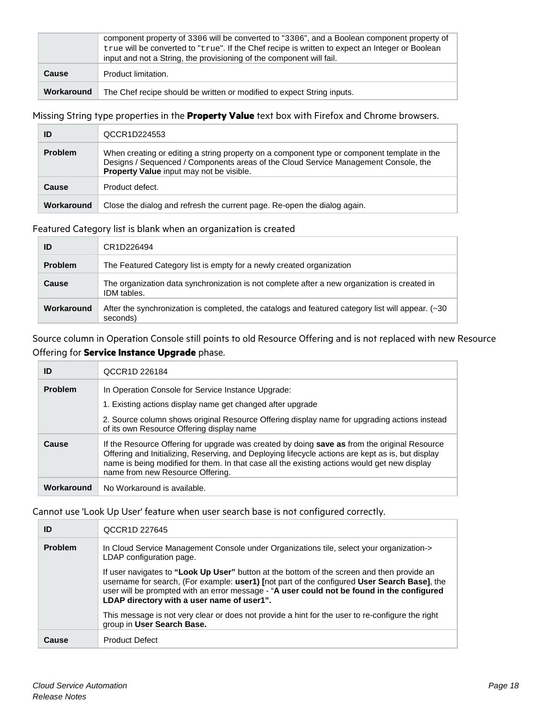|            | component property of 3306 will be converted to "3306", and a Boolean component property of<br>true will be converted to "true". If the Chef recipe is written to expect an Integer or Boolean |
|------------|------------------------------------------------------------------------------------------------------------------------------------------------------------------------------------------------|
|            | input and not a String, the provisioning of the component will fail.                                                                                                                           |
| Cause      | Product limitation.                                                                                                                                                                            |
| Workaround | The Chef recipe should be written or modified to expect String inputs.                                                                                                                         |

#### Missing String type properties in the **Property Value** text box with Firefox and Chrome browsers.

| ID             | QCCR1D224553                                                                                                                                                                                                                   |
|----------------|--------------------------------------------------------------------------------------------------------------------------------------------------------------------------------------------------------------------------------|
| <b>Problem</b> | When creating or editing a string property on a component type or component template in the<br>Designs / Sequenced / Components areas of the Cloud Service Management Console, the<br>Property Value input may not be visible. |
| Cause          | Product defect.                                                                                                                                                                                                                |
| Workaround     | Close the dialog and refresh the current page. Re-open the dialog again.                                                                                                                                                       |

#### Featured Category list is blank when an organization is created

| ID             | CR1D226494                                                                                                     |
|----------------|----------------------------------------------------------------------------------------------------------------|
| <b>Problem</b> | The Featured Category list is empty for a newly created organization                                           |
| Cause          | The organization data synchronization is not complete after a new organization is created in<br>IDM tables.    |
| Workaround     | After the synchronization is completed, the catalogs and featured category list will appear. (~30)<br>seconds) |

#### Source column in Operation Console still points to old Resource Offering and is not replaced with new Resource Offering for **Service Instance Upgrade** phase.

| ID             | QCCR1D 226184                                                                                                                                                                                                                                                                                                                         |
|----------------|---------------------------------------------------------------------------------------------------------------------------------------------------------------------------------------------------------------------------------------------------------------------------------------------------------------------------------------|
| <b>Problem</b> | In Operation Console for Service Instance Upgrade:                                                                                                                                                                                                                                                                                    |
|                | 1. Existing actions display name get changed after upgrade                                                                                                                                                                                                                                                                            |
|                | 2. Source column shows original Resource Offering display name for upgrading actions instead<br>of its own Resource Offering display name                                                                                                                                                                                             |
| Cause          | If the Resource Offering for upgrade was created by doing save as from the original Resource<br>Offering and Initializing, Reserving, and Deploying lifecycle actions are kept as is, but display<br>name is being modified for them. In that case all the existing actions would get new display<br>name from new Resource Offering. |
| Workaround     | No Workaround is available.                                                                                                                                                                                                                                                                                                           |

#### Cannot use 'Look Up User' feature when user search base is not configured correctly.

| ID      | QCCR1D 227645                                                                                                                                                                                                                                                                                                                          |
|---------|----------------------------------------------------------------------------------------------------------------------------------------------------------------------------------------------------------------------------------------------------------------------------------------------------------------------------------------|
| Problem | In Cloud Service Management Console under Organizations tile, select your organization-><br>LDAP configuration page.                                                                                                                                                                                                                   |
|         | If user navigates to "Look Up User" button at the bottom of the screen and then provide an<br>username for search, (For example: user1) [not part of the configured User Search Base], the<br>user will be prompted with an error message - "A user could not be found in the configured<br>LDAP directory with a user name of user1". |
|         | This message is not very clear or does not provide a hint for the user to re-configure the right<br>group in User Search Base.                                                                                                                                                                                                         |
| Cause   | <b>Product Defect</b>                                                                                                                                                                                                                                                                                                                  |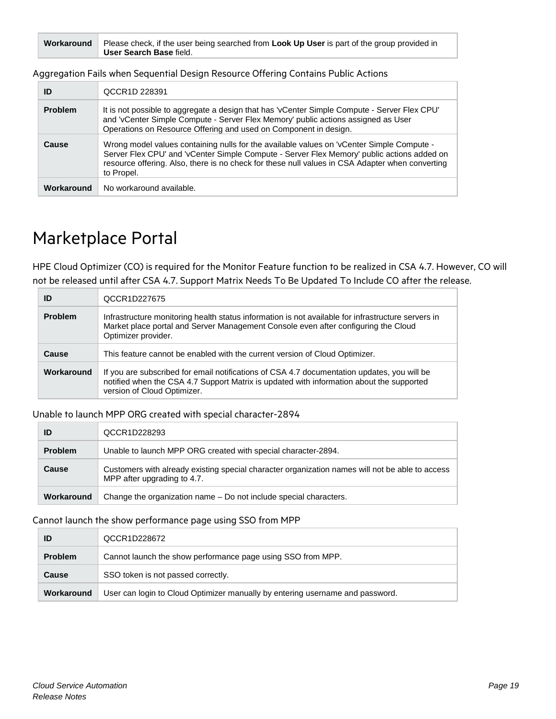|  | <b>Workaround</b> Please check, if the user being searched from <b>Look Up User</b> is part of the group provided in<br><b>User Search Base field.</b> |
|--|--------------------------------------------------------------------------------------------------------------------------------------------------------|
|--|--------------------------------------------------------------------------------------------------------------------------------------------------------|

Aggregation Fails when Sequential Design Resource Offering Contains Public Actions

| ID         | QCCR1D 228391                                                                                                                                                                                                                                                                                            |
|------------|----------------------------------------------------------------------------------------------------------------------------------------------------------------------------------------------------------------------------------------------------------------------------------------------------------|
| Problem    | It is not possible to aggregate a design that has 'vCenter Simple Compute - Server Flex CPU'<br>and 'vCenter Simple Compute - Server Flex Memory' public actions assigned as User<br>Operations on Resource Offering and used on Component in design.                                                    |
| Cause      | Wrong model values containing nulls for the available values on 'vCenter Simple Compute -<br>Server Flex CPU' and 'vCenter Simple Compute - Server Flex Memory' public actions added on<br>resource offering. Also, there is no check for these null values in CSA Adapter when converting<br>to Propel. |
| Workaround | No workaround available.                                                                                                                                                                                                                                                                                 |

### <span id="page-18-0"></span>Marketplace Portal

HPE Cloud Optimizer (CO) is required for the Monitor Feature function to be realized in CSA 4.7. However, CO will not be released until after CSA 4.7. Support Matrix Needs To Be Updated To Include CO after the release.

| ID             | QCCR1D227675                                                                                                                                                                                                           |
|----------------|------------------------------------------------------------------------------------------------------------------------------------------------------------------------------------------------------------------------|
| <b>Problem</b> | Infrastructure monitoring health status information is not available for infrastructure servers in<br>Market place portal and Server Management Console even after configuring the Cloud<br>Optimizer provider.        |
| Cause          | This feature cannot be enabled with the current version of Cloud Optimizer.                                                                                                                                            |
| Workaround     | If you are subscribed for email notifications of CSA 4.7 documentation updates, you will be<br>notified when the CSA 4.7 Support Matrix is updated with information about the supported<br>version of Cloud Optimizer. |

#### Unable to launch MPP ORG created with special character-2894

| ID             | QCCR1D228293                                                                                                                   |
|----------------|--------------------------------------------------------------------------------------------------------------------------------|
| <b>Problem</b> | Unable to launch MPP ORG created with special character-2894.                                                                  |
| <b>Cause</b>   | Customers with already existing special character organization names will not be able to access<br>MPP after upgrading to 4.7. |
| Workaround     | Change the organization name – Do not include special characters.                                                              |

#### Cannot launch the show performance page using SSO from MPP

| ID             | QCCR1D228672                                                                  |
|----------------|-------------------------------------------------------------------------------|
| <b>Problem</b> | Cannot launch the show performance page using SSO from MPP.                   |
| <b>Cause</b>   | SSO token is not passed correctly.                                            |
| Workaround     | User can login to Cloud Optimizer manually by entering username and password. |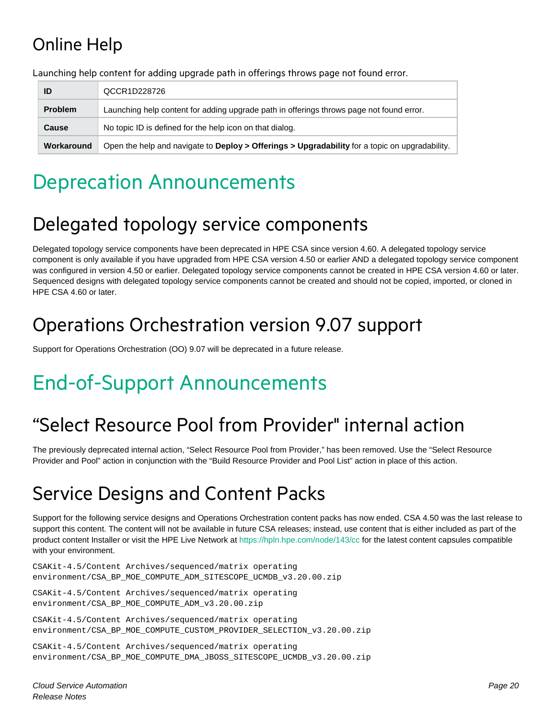## <span id="page-19-0"></span>Online Help

| ID             | QCCR1D228726                                                                                   |
|----------------|------------------------------------------------------------------------------------------------|
| <b>Problem</b> | Launching help content for adding upgrade path in offerings throws page not found error.       |
| <b>Cause</b>   | No topic ID is defined for the help icon on that dialog.                                       |
| Workaround     | Open the help and navigate to Deploy > Offerings > Upgradability for a topic on upgradability. |

Launching help content for adding upgrade path in offerings throws page not found error.

# <span id="page-19-1"></span>Deprecation Announcements

# <span id="page-19-2"></span>Delegated topology service components

Delegated topology service components have been deprecated in HPE CSA since version 4.60. A delegated topology service component is only available if you have upgraded from HPE CSA version 4.50 or earlier AND a delegated topology service component was configured in version 4.50 or earlier. Delegated topology service components cannot be created in HPE CSA version 4.60 or later. Sequenced designs with delegated topology service components cannot be created and should not be copied, imported, or cloned in HPE CSA 4.60 or later.

## <span id="page-19-3"></span>Operations Orchestration version 9.07 support

Support for Operations Orchestration (OO) 9.07 will be deprecated in a future release.

# <span id="page-19-4"></span>End-of-Support Announcements

# <span id="page-19-5"></span>"Select Resource Pool from Provider" internal action

The previously deprecated internal action, "Select Resource Pool from Provider," has been removed. Use the "Select Resource Provider and Pool" action in conjunction with the "Build Resource Provider and Pool List" action in place of this action.

# <span id="page-19-6"></span>Service Designs and Content Packs

Support for the following service designs and Operations Orchestration content packs has now ended. CSA 4.50 was the last release to support this content. The content will not be available in future CSA releases; instead, use content that is either included as part of the product content Installer or visit the HPE Live Network a[t https://hpln.hpe.com/node/143/cc](https://hpln.hpe.com/node/143/cc) for the latest content capsules compatible with your environment.

```
CSAKit-4.5/Content Archives/sequenced/matrix operating 
environment/CSA_BP_MOE_COMPUTE_ADM_SITESCOPE_UCMDB_v3.20.00.zip
CSAKit-4.5/Content Archives/sequenced/matrix operating 
environment/CSA_BP_MOE_COMPUTE_ADM_v3.20.00.zip
CSAKit-4.5/Content Archives/sequenced/matrix operating 
environment/CSA_BP_MOE_COMPUTE_CUSTOM_PROVIDER_SELECTION_v3.20.00.zip
CSAKit-4.5/Content Archives/sequenced/matrix operating 
environment/CSA_BP_MOE_COMPUTE_DMA_JBOSS_SITESCOPE_UCMDB_v3.20.00.zip
```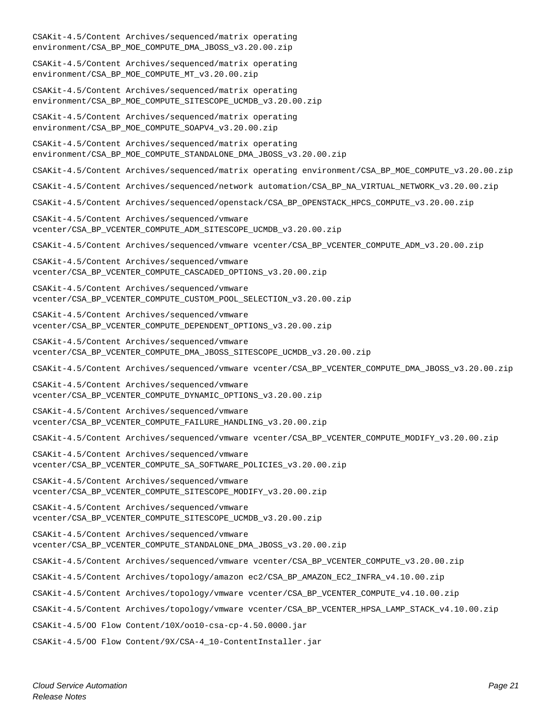| CSAKit-4.5/Content Archives/sequenced/matrix operating<br>environment/CSA_BP_MOE_COMPUTE_DMA_JBOSS_v3.20.00.zip            |
|----------------------------------------------------------------------------------------------------------------------------|
| CSAKit-4.5/Content Archives/sequenced/matrix operating<br>environment/CSA_BP_MOE_COMPUTE_MT_v3.20.00.zip                   |
| CSAKit-4.5/Content Archives/sequenced/matrix operating<br>environment/CSA BP MOE COMPUTE SITESCOPE UCMDB v3.20.00.zip      |
| CSAKit-4.5/Content Archives/sequenced/matrix operating<br>environment/CSA BP MOE COMPUTE SOAPV4 v3.20.00.zip               |
| CSAKit-4.5/Content Archives/sequenced/matrix operating<br>environment/CSA_BP_MOE_COMPUTE_STANDALONE_DMA_JBOSS_v3.20.00.zip |
| CSAKit-4.5/Content Archives/sequenced/matrix operating environment/CSA BP MOE COMPUTE v3.20.00.zip                         |
| CSAKit-4.5/Content Archives/sequenced/network automation/CSA_BP_NA_VIRTUAL_NETWORK_v3.20.00.zip                            |
| CSAKit-4.5/Content Archives/sequenced/openstack/CSA_BP_OPENSTACK_HPCS_COMPUTE_v3.20.00.zip                                 |
| CSAKit-4.5/Content Archives/sequenced/vmware<br>vcenter/CSA_BP_VCENTER_COMPUTE_ADM_SITESCOPE_UCMDB_v3.20.00.zip            |
| $CSAKit-4.5/Content Archives/sequenced/vmware vector/CSA BP VCENTER COMPUTE ADM_V3.20.00.zip$                              |
| CSAKit-4.5/Content Archives/sequenced/vmware<br>vcenter/CSA_BP_VCENTER_COMPUTE_CASCADED_OPTIONS_v3.20.00.zip               |
| CSAKit-4.5/Content Archives/sequenced/vmware<br>vcenter/CSA_BP_VCENTER_COMPUTE_CUSTOM_POOL_SELECTION_v3.20.00.zip          |
| CSAKit-4.5/Content Archives/sequenced/vmware<br>vcenter/CSA_BP_VCENTER_COMPUTE_DEPENDENT_OPTIONS_v3.20.00.zip              |
| CSAKit-4.5/Content Archives/sequenced/vmware<br>vcenter/CSA_BP_VCENTER_COMPUTE_DMA_JBOSS_SITESCOPE_UCMDB_v3.20.00.zip      |
| CSAKit-4.5/Content Archives/sequenced/vmware vcenter/CSA_BP_VCENTER_COMPUTE_DMA_JBOSS_v3.20.00.zip                         |
| CSAKit-4.5/Content Archives/sequenced/vmware<br>vcenter/CSA BP VCENTER COMPUTE DYNAMIC OPTIONS v3.20.00.zip                |
| CSAKit-4.5/Content Archives/sequenced/vmware<br>vcenter/CSA_BP_VCENTER_COMPUTE_FAILURE_HANDLING_v3.20.00.zip               |
| CSAKit-4.5/Content Archives/sequenced/vmware vcenter/CSA BP VCENTER COMPUTE MODIFY v3.20.00.zip                            |
| CSAKit-4.5/Content Archives/sequenced/vmware<br>vcenter/CSA_BP_VCENTER_COMPUTE_SA_SOFTWARE_POLICIES_v3.20.00.zip           |
| CSAKit-4.5/Content Archives/sequenced/vmware<br>vcenter/CSA_BP_VCENTER_COMPUTE_SITESCOPE_MODIFY_v3.20.00.zip               |
| CSAKit-4.5/Content Archives/sequenced/vmware<br>vcenter/CSA_BP_VCENTER_COMPUTE_SITESCOPE_UCMDB_v3.20.00.zip                |
| CSAKit-4.5/Content Archives/sequenced/vmware<br>vcenter/CSA_BP_VCENTER_COMPUTE_STANDALONE_DMA_JBOSS_v3.20.00.zip           |
| CSAKit-4.5/Content Archives/sequenced/vmware vcenter/CSA_BP_VCENTER_COMPUTE_v3.20.00.zip                                   |
| CSAKit-4.5/Content Archives/topology/amazon ec2/CSA_BP_AMAZON_EC2_INFRA_v4.10.00.zip                                       |
| CSAKit-4.5/Content Archives/topology/vmware vcenter/CSA_BP_VCENTER_COMPUTE_v4.10.00.zip                                    |
| CSAKit-4.5/Content Archives/topology/vmware vcenter/CSA_BP_VCENTER_HPSA_LAMP_STACK_v4.10.00.zip                            |
| $CSAKit-4.5/00$ Flow Content/10X/oo10-csa-cp-4.50.0000.jar                                                                 |
| CSAKit-4.5/00 Flow Content/9X/CSA-4_10-ContentInstaller.jar                                                                |